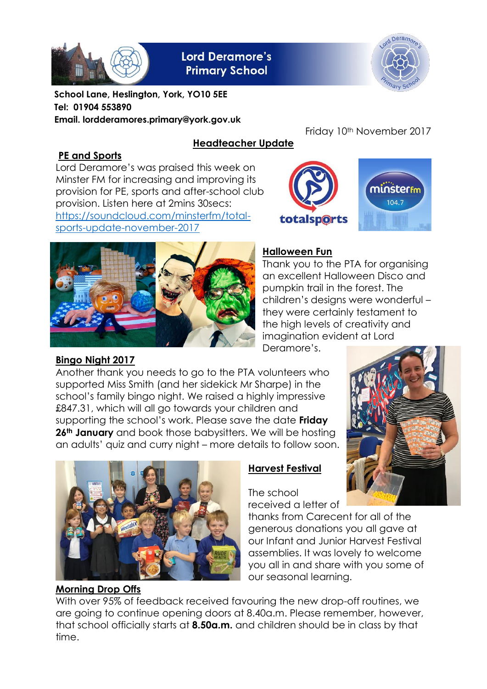

**Lord Deramore's Primary School** 



**School Lane, Heslington, York, YO10 5EE Tel: 01904 553890 Email. lordderamores.primary@york.gov.uk**

#### **PE and Sports**

## **Headteacher Update**

Lord Deramore's was praised this week on Minster FM for increasing and improving its provision for PE, sports and after-school club provision. Listen here at 2mins 30secs: [https://soundcloud.com/minsterfm/total](https://soundcloud.com/minsterfm/total-sports-update-november-2017)[sports-update-november-2017](https://soundcloud.com/minsterfm/total-sports-update-november-2017)





Friday 10<sup>th</sup> November 2017



## **Halloween Fun**

Thank you to the PTA for organising an excellent Halloween Disco and pumpkin trail in the forest. The children's designs were wonderful – they were certainly testament to the high levels of creativity and imagination evident at Lord Deramore's.

# **Bingo Night 2017**

Another thank you needs to go to the PTA volunteers who supported Miss Smith (and her sidekick Mr Sharpe) in the school's family bingo night. We raised a highly impressive £847.31, which will all go towards your children and supporting the school's work. Please save the date **Friday 26th January** and book those babysitters. We will be hosting an adults' quiz and curry night – more details to follow soon.





## **Morning Drop Offs**

#### **Harvest Festival**

The school received a letter of

thanks from Carecent for all of the generous donations you all gave at our Infant and Junior Harvest Festival assemblies. It was lovely to welcome you all in and share with you some of our seasonal learning.

With over 95% of feedback received favouring the new drop-off routines, we are going to continue opening doors at 8.40a.m. Please remember, however, that school officially starts at **8.50a.m.** and children should be in class by that time.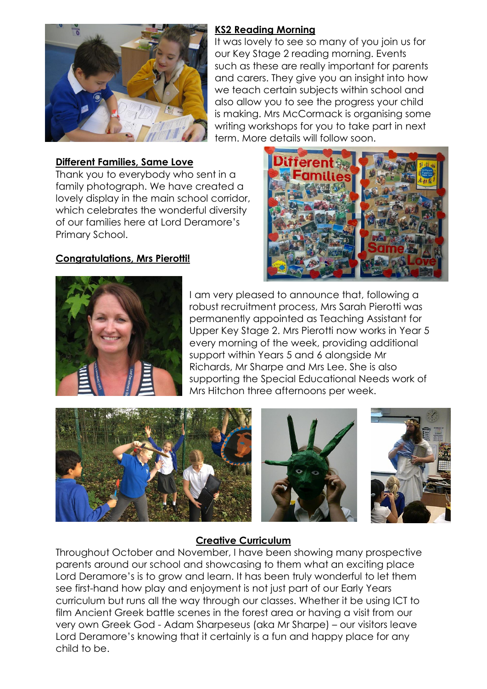

### **Different Families, Same Love**

Thank you to everybody who sent in a family photograph. We have created a lovely display in the main school corridor, which celebrates the wonderful diversity of our families here at Lord Deramore's Primary School.

### **Congratulations, Mrs Pierotti!**

#### **KS2 Reading Morning**

It was lovely to see so many of you join us for our Key Stage 2 reading morning. Events such as these are really important for parents and carers. They give you an insight into how we teach certain subjects within school and also allow you to see the progress your child is making. Mrs McCormack is organising some writing workshops for you to take part in next term. More details will follow soon.





I am very pleased to announce that, following a robust recruitment process, Mrs Sarah Pierotti was permanently appointed as Teaching Assistant for Upper Key Stage 2. Mrs Pierotti now works in Year 5 every morning of the week, providing additional support within Years 5 and 6 alongside Mr Richards, Mr Sharpe and Mrs Lee. She is also supporting the Special Educational Needs work of Mrs Hitchon three afternoons per week.



## **Creative Curriculum**

Throughout October and November, I have been showing many prospective parents around our school and showcasing to them what an exciting place Lord Deramore's is to grow and learn. It has been truly wonderful to let them see first-hand how play and enjoyment is not just part of our Early Years curriculum but runs all the way through our classes. Whether it be using ICT to film Ancient Greek battle scenes in the forest area or having a visit from our very own Greek God - Adam Sharpeseus (aka Mr Sharpe) – our visitors leave Lord Deramore's knowing that it certainly is a fun and happy place for any child to be.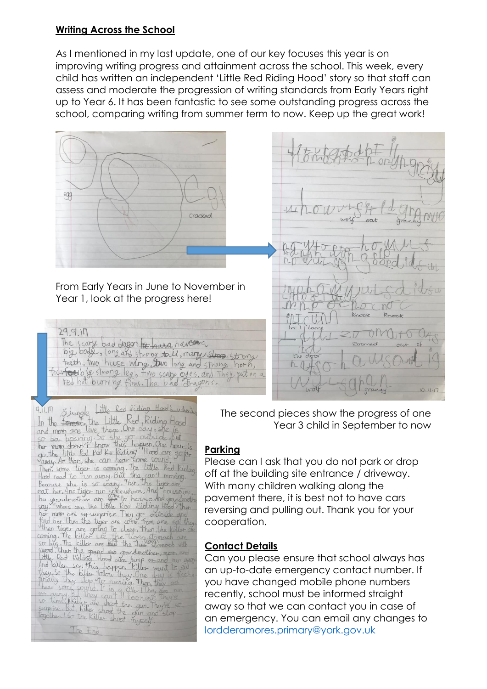#### **Writing Across the School**

As I mentioned in my last update, one of our key focuses this year is on improving writing progress and attainment across the school. This week, every child has written an independent 'Little Red Riding Hood' story so that staff can assess and moderate the progression of writing standards from Early Years right up to Year 6. It has been fantastic to see some outstanding progress across the school, comparing writing from summer term to now. Keep up the great work!



Little Red Riding Hood's udventur  $9.11.17$ 9.11.11 Simple Little Red Riding Hood's villenting<br>In the forest the Little Red Riding Hood<br>and mom one live there. One day, she is<br>so be bouning from this hoppen. One hour is<br>be the little Red Ry Riding Hood are go to<br>awa Single in Survive are the liftle Red Rioling list in<br>Survive are the liftle Red Rioling list in<br>Find her. Then the tiger are come from ane ed they.<br>Then tiger are going to cleep. Then the killer are<br>coming. The killer see the tig

The End

The second pieces show the progress of one Year 3 child in September to now

## **Parking**

Please can I ask that you do not park or drop off at the building site entrance / driveway. With many children walking along the pavement there, it is best not to have cars reversing and pulling out. Thank you for your cooperation.

## **Contact Details**

Can you please ensure that school always has an up-to-date emergency contact number. If you have changed mobile phone numbers recently, school must be informed straight away so that we can contact you in case of an emergency. You can email any changes to [lordderamores.primary@york.gov.uk](mailto:lordderamores.primary@york.gov.uk)